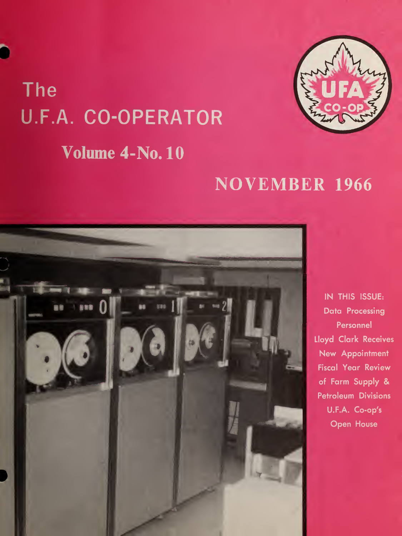# The U.F.A. CO-OPERATOR



# Volume 4-No. 10

# **NOVEMBER 1966**



IN THIS ISSUE: **Data Processing** Personnel Lloyd Clark Receives New Appointment **Fiscal Year Review** of Farm Supply & **Petroleum Divisions** U.F.A. Co-op's **Open House**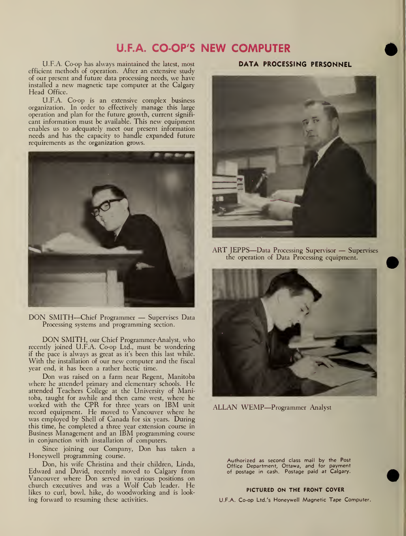# U.F.A. CO-OP'S NEW COMPUTER

U.F.A. Co-op has always maintained the latest, most efficient methods of operation. After an extensive study of our present and future data processing needs, we have installed <sup>a</sup> new magnetic tape computer at the Calgary Head Office.

U.F.A. Co-op is an extensive complex business organization. In order to effectively manage this large operation and plan for the future growth, current signifi cant information must be available. This new equipment enables us to adequately meet our present information needs and has the capacity to handle expanded future requirements as the organization grows.



DON SMITH—Chief Programmer — Supervises Data Processing systems and programming section.

DON SMITH, our Chief Programmer-Analyst, who recently joined U.F.A. Co-op Ltd., must be wondering if the pace is always as great as it's been this last while. With the installation of our new computer and the fiscal year end, it has been a rather hectic time.

Don was raised on <sup>a</sup> farm near Regent, Manitoba where he attended primary and elementary schools. He attended Teachers College at the University of Manitoba, taught for awhile and then came west, where he worked with the CPR for three years on IBM unit record equipment. He moved to Vancouver where he was employed by Shell of Canada for six years. During this time, he completed a three year extension course in<br>Business Management and an IBM programming course in conjunction with installation of computers.

Since joining our Company, Don has taken <sup>a</sup> Honeywell programming course.

Don, his wife Christina and their children, Linda, Edward and David, recently moved to Calgary from Vancouver where Don served in various positions on church executives and was <sup>a</sup> Wolf Cub leader. He likes to curl, bowl, hike, do woodworking and is look ing forward to resuming these activities.

# DATA PROCESSING PERSONNEL



ART JEPPS—Data Processing Supervisor — Supervises the operation of Data Processing equipment.



ALLAN WEMP—Programmer Analyst

Authorized as second class mail by the Post Office Department, Ottawa, and for payment of postage in cash. Postage paid at Calgary.

#### PICTURED ON THE FRONT COVER

U.F.A. Co-op Ltd.'s Honeywell Magnetic Tape Computer.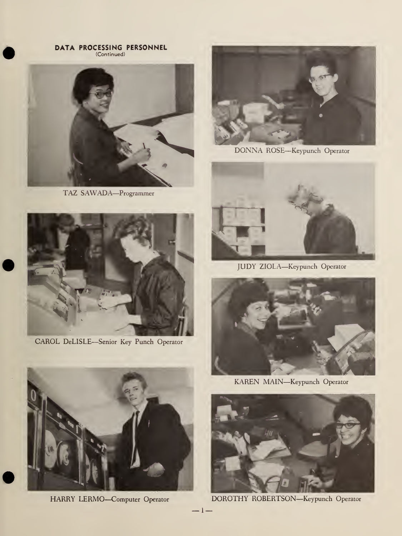DATA PROCESSING PERSONNEL<br>(Continued)



TAZ SAWADA-Programmer



CAROL DeLISLE-Senior Key Punch Operator



DONNA ROSE-Keypunch Operator



JUDY ZIOLA-Keypunch Operator



KAREN MAIN-Keypunch Operator



DOROTHY ROBERTSON-Keypunch Operator



HARRY LERMO-Computer Operator

 $-1-$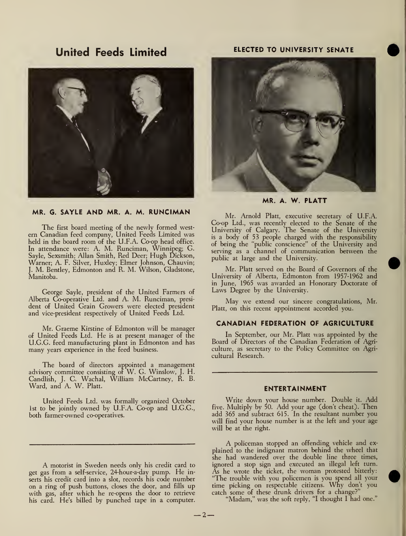# United Feeds Limited



# MR. G. SAYLE AND MR. A. M. RUNCIMAN

The first board meeting of the newly formed west ern Canadian feed company, United Feeds Limited was held in the board room of the U.F.A. Co-op head office. In attendance were: A. M. Runciman, Winnipeg; G. Sayle, Sexsmith; Allan Smith, Red Deer; Hugh Dickson, Warner; A. F. Silver, Huxley; Elmer Johnson, Chauvin; J. M. Bentley, Edmonton and R. M. Wilson, Gladstone, Manitoba.

George Sayle, president of the United Farmers of Alberta Co-operative Ltd. and A. M. Runciman, president of United Grain Growers were elected president and vice-president respectively of United Feeds Ltd.

Mr. Graeme Kirstine of Edmonton will be manager of United Feeds Ltd. He is at present manager of the U.G.G. feed manufacturing plant in Edmonton and has many years experience in the feed business.

The board of directors appointed a management advisory committee consisting of W. G. Winslow, J. H. Candlish, J. C. Wachal, William McCartney, R. B. Ward, and A. W. Piatt.

United Feeds Ltd. was formally organized October 1st to be jointly owned by U.F.A. Co-op and U.G.G. both farmer-owned co-operatives.

A motorist in Sweden needs only his credit card to get gas from <sup>a</sup> self-service, 24-hour-a-day pump. He inserts his credit card into <sup>a</sup> slot, records his code number on a ring of push buttons, closes the door, and fills up with gas, after which he re-opens the door to retrieve his card. He's billed by punched tape in a computer.

# ELECTED TO UNIVERSITY SENATE



MR. A. W. PLATT

Mr. Arnold Piatt, executive secretary of U.F.A. Co-op Ltd., was recently elected to the Senate of the University of Calgary. The Senate of the University is a body of 53 people charged with the responsibility of being the "public conscience" of the University and serving as a channel of communication between the public at large and the University.

Mr. Piatt served on the Board of Governors of the University of Alberta, Edmonton from 1957-1962 and in June, 1965 was awarded an Honorary Doctorate of Laws Degree by the University.

May we extend our sincere congratulations, Mr. Piatt, on this recent appointment accorded you.

### CANADIAN FEDERATION OF AGRICULTURE

In September, our Mr. Piatt was appointed by the Board of Directors of the Canadian Federation of Agriculture, as secretary to the Policy Committee on Agricultural Research.

### ENTERTAINMENT

Write down your house number. Double it. Add five. Multiply by 50. Add your age (don't cheat). Then add 365 and subtract 615. In the resultant number you will find your house number is at the left and your age will be at the right.

A policeman stopped an offending vehicle and ex plained to the indignant matron behind the wheel that she had wandered over the double line three times, ignored a stop sign and executed an illegal left turn. As he wrote the ticket, the woman protested bitterly: "The trouble with you policemen is you spend all your time picking on respectable citizens. Why don't you catch some of these drunk drivers for a change?"

"Madam," was the soft reply, "I thought I had one."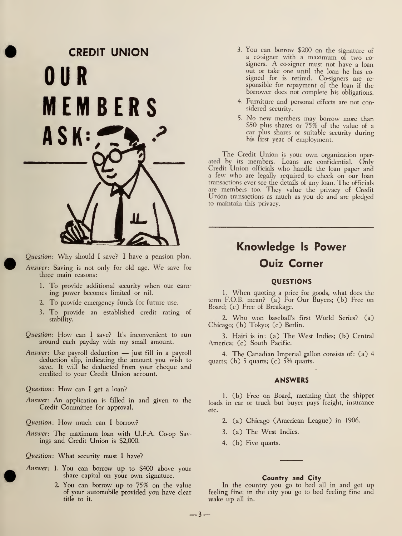# CREDIT UNION OUR MEMBERS ASK:

Question: Why should <sup>I</sup> save? <sup>I</sup> have <sup>a</sup> pension plan. Answer: Saving is not only for old age. We save for three main reasons:

- 1. To provide additional security when our earn ing power becomes limited or nil.
- 2. To provide emergency funds for future use.
- 3. To provide an established credit rating of stability.
- Question: How can <sup>I</sup> save? It's inconvenient to run around each payday with my small amount.
- Answer: Use payroll deduction just fill in <sup>a</sup> payroll deduction slip, indicating the amount you wish to save. It will be deducted from your cheque and credited to your Credit Union account.

Question: How can I get a loan?

Answer: An application is filled in and given to the Credit Committee for approval.

Question: How much can <sup>I</sup> borrow?

Answer: The maximum loan with U.F.A. Co-op Savings and Credit Union is \$2,000.

Question: What security must <sup>I</sup> have?

- Answer: 1. You can borrow up to \$400 above your share capital on your own signature.
	- 2. You can borrow up to 75% on the value of your automobile provided you have clear title to it.
- 3. You can borrow \$200 on the signature of <sup>a</sup> co-signer with <sup>a</sup> maximum of two cosigners. A co-signer must not have <sup>a</sup> loan out or take one until the loan he has co signed for is retired. Co-signers are re sponsible for repayment of the loan if the borrower does not complete his obligations.
- 4. Furniture and personal effects are not considered security.
- 5. No new members may borrow more than \$50 plus shares or 75% of the value of <sup>a</sup> car plus shares or suitable security during his first year of employment.

The Credit Union is your own organization oper ated by its members. Loans are confidential. Only Credit Union officials who handle the loan paper and <sup>a</sup> few who are legally required to check on our loan transactions ever see the details of any loan. The officials are members too. They value the privacy of Credit Union transactions as much as you do and are pledged to maintain this privacy.

# Knowledge Is Power Quiz Corner

# **OUESTIONS**

1. When quoting <sup>a</sup> price for goods, what does the term F.O.B. mean? (a) For Our Buyers; (b) Free on Board; (c) Free of Breakage.

2. Who won baseball's first World Series? (a) Chicago; (b) Tokyo; (c) Berlin.

3. Haiti is in: (a) The West Indies; (b) Central America; (c) South Pacific.

4. The Canadian Imperial gallon consists of: (a) 4 quarts; (b) 5 quarts; (c)  $\frac{53}{4}$  quarts.

#### ANSWERS

1. (b) Free on Board, meaning that the shipper loads in car or truck but buyer pays freight, insurance etc.

- 2. (a) Chicago (American League) in 1906.
- 3. (a) The West Indies.
- 4. (b) Five quarts.

# Country and City

In the country you go to bed all in and get up feeling fine; in the city you go to bed feeling fine and wake up all in.

 $-3-$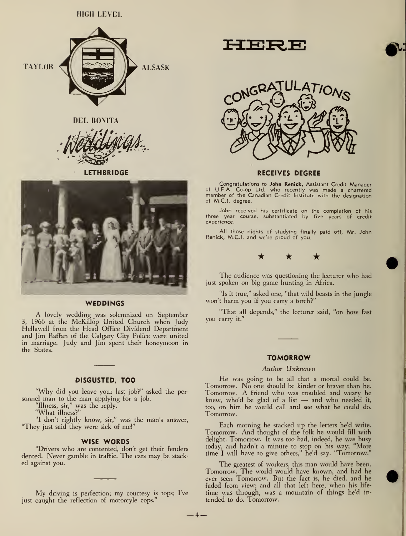



**LETHBRIDGE** 



#### **WEDDINGS**

A lovely wedding was solemnized on September 3, 1966 at the McKillop United Church when Judy Hellawell from the Head Office Dividend Department and Jim Raffan of the Calgary City Police were united in marriage. Judy and Jim spent their honeymoon in the States.

# DISGUSTED, TOO

"Why did you leave your last job?" asked the per sonnel man to the man applying for <sup>a</sup> job.

"Illness, sir," was the reply.

"What illness?"

"I don't rightly know, sir," was the man's answer, "They just said they were sick of me!"

#### WISE WORDS

"Drivers who are contented, don't get their fenders dented. Never gamble in traffic. The cars may be stack ed against you.

My driving is perfection; my courtesy is tops; I've just caught the reflection of motorcyle cops."

EIBRIB



#### RECEIVES DEGREE

Congratulations to John Renick, Assistant Credit Manager of U.F.A. Co-op Ltd. who recently was made <sup>a</sup> chartered member of the Canadian Credit Institute with the designation of M.C.I, degree.

John received his certificate on the completion of his three year course, substantiated by five years of credit experience.

All those nights of studying finally paid off, Mr. John Renick, M.C.I, and we're proud of you.



The audience was questioning the lecturer who had just spoken on big game hunting in Africa.

"Is it true," asked one, "that wild beasts in the jungle won't harm you if you carry a torch?"

"That all depends," the lecturer said, "on how fast you carry it."

## **TOMORROW**

## Author Unknown

He was going to be all that <sup>a</sup> mortal could be. Tomorrow. No one should be kinder or braver than he. Tomorrow. A friend who was troubled and weary he knew, who'd be glad of <sup>a</sup> list — and who needed it, too, on him he would call and see what he could do. Tomorrow.

Each morning he stacked up the letters he'd write. Tomorrow. And thought of the folk he would fill with delight. Tomorrow. It was too bad, indeed, he was busy today, and hadn't a minute to stop on his way; "More time <sup>I</sup> will have to give others," he'd say. "Tomorrow."

The greatest of workers, this man would have been. Tomorrow. The world would have known, and had he ever seen Tomorrow. But the fact is, he died, and he faded from view; and all that left here, when his life time was through, was a mountain of things he'd in tended to do. Tomorrow.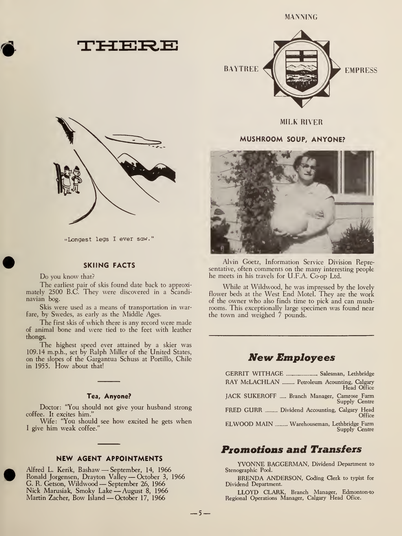



•Longest legs <sup>I</sup> ever saw.

# SKIING FACTS

Do you know that?

The earliest pair of skis found date back to approximately 2500 B.C. They were discovered in a Scandinavian bog.

Skis were used as a means of transportation in warfare, by Swedes, as early as the Middle Ages.

The first skis of which there is any record were made of animal bone and were tied to the feet with leather thongs.

The highest speed ever attained by a skier was 109.14 m.p.h., set by Ralph Miller of the United States, on the slopes of the Gargantua Schuss at Portillo, Chile in 1955. How about that!

# Tea, Anyone?

Doctor: "You should not give your husband strong coffee. It excites him."

Wife: "You should see how excited he gets when <sup>I</sup> give him weak coffee."

# NEW AGENT APPOINTMENTS

Alfred L. Kerik, Bashaw — September, 14, <sup>1966</sup> Ronald Jorgensen, Drayton Valley — October 3, <sup>1966</sup> G. R. Getson, Wildwood — September 26, <sup>1966</sup> Nick Marusiak, Smoky Lake —August 8, <sup>1966</sup> Martin Zacher, Bow Island — October 17, 1966



MILK RIVER

# MUSHROOM SOUP, ANYONE?



Alvin Goetz, Information Service Division Representative, often comments on the many interesting people he meets in his travels for U.F.A. Co-op Ltd.

While at Wildwood, he was impressed by the lovely flower beds at the West End Motel. They are the work of the owner who also finds time to pick and can mushrooms. This exceptionally large specimen was found near the town and weighed 7 pounds.

# **New Employees**

| RAY McLACHLAN  Petroleum Acounting, Calgary<br>Head Office   |  |
|--------------------------------------------------------------|--|
| JACK SUKEROFF  Branch Manager, Camrose Farm<br>Supply Centre |  |
| FRED GURR  Dividend Accounting, Calgary Head<br>Office       |  |
| ELWOOD MAIN  Warehouseman, Lethbridge Farm<br>Supply Centre  |  |

# Promotions and Transfers

YVONNE BAGGERMAN, Dividend Department to Stenographic Pool.

BRENDA ANDERSON, Coding Clerk to typist for Dividend Department.

LLOYD CLARK, Branch Manager, Edmonton-to Regional Operations Manager, Calgary Head Ofice.

 $-5-$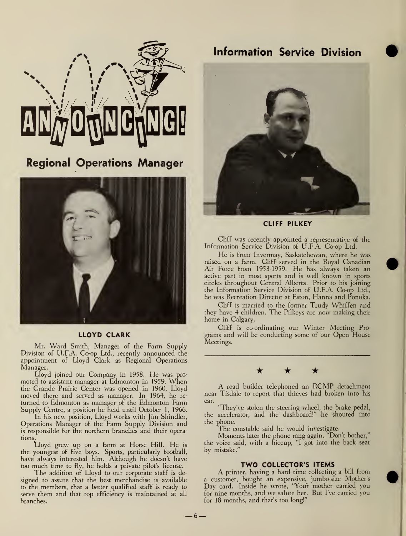

Regional Operations Manager



# LLOYD CLARK

Mr. Ward Smith, Manager of the Farm Supply Division of U.F.A. Co-op Ltd., recently announced the appointment of Lloyd Clark as Regional Operations Manager.

Lloyd joined our Company in 1958. He was pro moted to assistant manager at Edmonton in 1959. When the Grande Prairie Center was opened in 1960, Lloyd moved there and served as manager. In 1964, he re turned to Edmonton as manager of the Edmonton Farm Supply Centre, a position he held until October 1, 1966.

In his new position, Lloyd works with Jim Shindler, Operations Manager of the Farm Supply Division and is responsible for the northern branches and their operations.

Lloyd grew up on <sup>a</sup> farm at Horse Hill. He isthe youngest of five boys. Sports, particularly football, have always interested him. Although he doesn't have too much time to fly, he holds <sup>a</sup> private pilot's license.

The addition of Lloyd to our corporate staff is de signed to assure that the best merchandise is available to the members, that a better qualified staff is ready to serve them and that top efficiency is maintained at all branches.



CLIFF PILKEY

Cliff was recently appointed a representative of the Information Service Division of U.F.A. Co-op Ltd.

He is from Invermay, Saskatchewan, where he was raised on a farm. Cliff served in the Royal Canadian Air Force from 1953-1959. He has always taken an active part in most sports and is well known in sports circles throughout Central Alberta. Prior to his joining the Information Service Division of U.F.A. Co-op Ltd., he was Recreation Director at Eston, Hanna and Ponoka.

Cliff is married to the former Trudy Whiffen and they have 4 children. The Pilkeys are now making their home in Calgary.

Cliff is co-ordinating our Winter Meeting Pro grams and will be conducting some of our Open House Meetings.



A road builder telephoned an RCMP detachment near Tisdale to report that thieves had broken into his car.

"They've stolen the steering wheel, the brake pedal, the accelerator, and the dashboard!" he shouted into the phone.

The constable said he would investigate.

Moments later the phone rang again. "Don't bother," the voice said, with a hiccup, "I got into the back seat by mistake."

# TWO COLLECTOR'S ITEMS

A printer, having <sup>a</sup> hard time collecting <sup>a</sup> bill from a customer, bought an expensive, jumbo-size Mother's Day card. Inside he wrote, "Your mother carried you for nine months, and we salute her. But I've carried you for 18 months, and that's too long!"

 $-6-$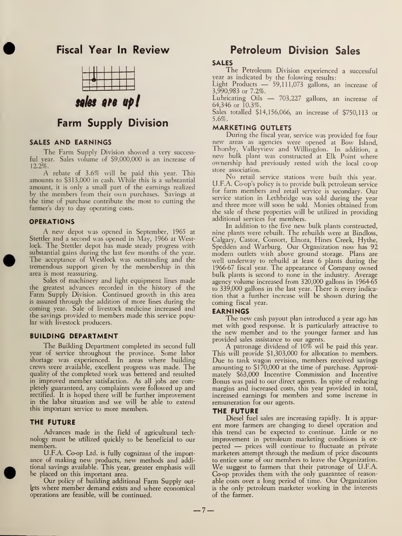# Fiscal Year In Review



# sales are up!

# Farm Supply Division

# SALES AND EARNINGS

The Farm Supply Division showed <sup>a</sup> very successful year. Sales volume of \$9,000,000 is an increase of 12.2%.

A rebate of 3.6% will be paid this year. This amounts to \$313,000 in cash. While this is a substantial amount, it is only a small part of the earnings realized by the members from their own purchases. Savings at the time of purchase contribute the most to cutting the farmer's day to day operating costs.

#### **OPERATIONS**

A new depot was opened in September, <sup>1965</sup> at Stettler and a second was opened in May, 1966 at Westlock. The Stettler depot has made steady progress with substantial gains during the last few months of the year. The acceptance of Westlock was outstanding and the tremendous support given by the membership in this area is most reassuring.

Sales of machinery and light equipment lines made the greatest advances recorded in the history of the Farm Supply Division. Continued growth in this area is assured through the addition of more lines during the coming year. Sale of livestock medicine increased and the savings provided to members made this service popular with livestock producers.

# BUILDING DEPARTMENT

The Building Department completed its second full year of service throughout the province. Some labor shortage was experienced. In areas where building crews were available, excellent progress was made. The quality of the completed work was bettered and resulted in improved member satisfaction. As all jobs are completely guaranteed, any complaints were followed up and rectified. It is hoped there will be further improvement in the labor situation and we will be able to extend this important service to more members.

### THE FUTURE

Advances made in the field of agricultural tech nology must be utilized quickly to be beneficial to our members.

U.F.A. Co-op Ltd. is fully cognizant of the import ance of making new products, new methods and additional savings available. This year, greater emphasis will be placed on this important area.

Our policy of building additional Farm Supply out-Jets where member demand exists and where economical operations are feasible, will be continued.

# Petroleum Division Sales

# SALES

The Petroleum Division experienced <sup>a</sup> successful year as indicated by the folowing results:

Light Products — 59,111,073 gallons, an increase of 3,990,983 or 7.2%.

Lubricating Oils — 703,227 gallons, an increase of 64,346 or 10.3%.

Sales totalled \$14,156,066, an increase of \$750,113 or 5.6%.

# MARKETING OUTLETS

During the fiscal year, service was provided for four new areas as agencies were opened at Bow Island, Thorsby, Valleyview and Willingdon. In addition, a new bulk plant was constructed at Elk Point where ownership had previously rested with the local co-op store association.

No retail service stations were built this year. U.F.A. Co-op's policy is to provide bulk petroleum service for farm members and retail service is secondary. Our service station in Lethbridge was sold during the year and three more will soon be sold. Monies obtained from the sale of these properties will be utilized in providing additional services for members.

In addition to the five new bulk plants constructed, nine plants were rebuilt. The rebuilds were at Bindloss, Calgary, Castor, Consort, Elnora, Hines Creek, Hythe, Spedden and Warburg. Our Organization now has 92 modern outlets with above ground storage. Plans are well underway to rebuild at least 6 plants during the 1966-67 fiscal year. The appearance of Company owned bulk plants is second to none in the industry. Average agency volume increased from 320,000 gallons in 1964-65 to 339,000 gallons in the last year. There is every indication that a further increase will be shown during the coming fiscal year.

#### EARNINGS

The new cash payout plan introduced <sup>a</sup> year ago has met with good response. It is particularly attractive to the new member and to the younger farmer and has provided sales assistance to our agents.

A patronage dividend of 10% wil be paid this year. This will provide \$1,303,000 for allocation to members. Due to tank wagon revision, members received savings amounting to \$170,000 at the time of purchase. Approximately \$63,000 Incentive Commission and Incentive Bonus was paid to our direct agents. In spite of reducing margins and increased costs, this year provided in total, increased earnings for members and some increase in remuneration for our agents.

## THE FUTURE

Diesel fuel sales are increasing rapidly. It is appar ent more farmers are changing to diesel operation and this trend can be expected to continue. Little or no improvement in petroleum marketing conditions is ex pected — prices will continue to fluctuate as private marketers attempt through the medium of price discounts to entice some of our members to leave the Organization. We suggest to farmers that their patronage of U.F.A. Co-op provides them with the only guarantee of reason able costs over a long period of time. Our Organization is the only petroleum marketer working in the interests of the farmer.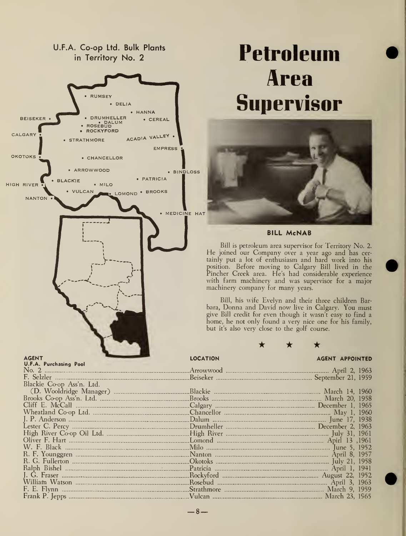

 $-8-$ 

# Petroleum Area Supervisor



# BILL McNAB

Bill is petroleum area supervisor for Territory No. 2. He joined our Company over <sup>a</sup> year ago and has cer tainly put a lot of enthusiasm and hard work into his position. Before moving to Calgary Bill lived in the Pincher Creek area. He's had considerable experience with farm machinery and was supervisor for a major machinery company for many years.

Bill, his wife Evelyn and their three children Barbara, Donna and David now live in Calgary. You must give Bill credit for even though it wasn't easy to find a home, he not only found a very nice one for his family, but it's also very close to the golf course.

★

## LOCATION AGENT APPOINTED

| Blackie Co-op Ass'n. Ltd.                                          |  |
|--------------------------------------------------------------------|--|
|                                                                    |  |
|                                                                    |  |
|                                                                    |  |
|                                                                    |  |
|                                                                    |  |
| <u>- Drumheller (1996) Dester C. Percy (1963) December 2, 1963</u> |  |
|                                                                    |  |
|                                                                    |  |
|                                                                    |  |
|                                                                    |  |
|                                                                    |  |
|                                                                    |  |
|                                                                    |  |
|                                                                    |  |
|                                                                    |  |
|                                                                    |  |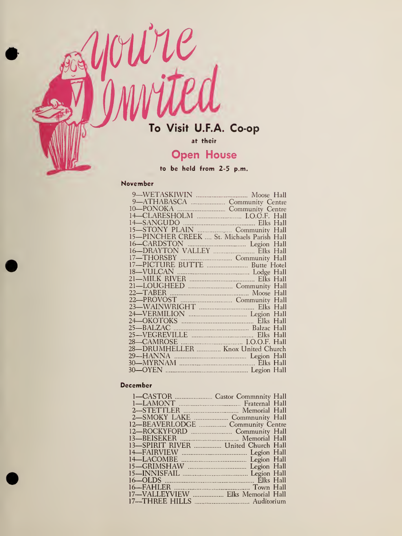

at their

# Open House

to be held from 2-5 p.m.

# November

|                                   | 21-LOUGHEED  Community Hall                             |
|-----------------------------------|---------------------------------------------------------|
|                                   | 22—TABER Moose Hall<br>22—PROVOST Manual Community Hall |
|                                   |                                                         |
|                                   |                                                         |
|                                   |                                                         |
|                                   |                                                         |
|                                   |                                                         |
|                                   |                                                         |
|                                   |                                                         |
| 28-DRUMHELLER  Knox United Church |                                                         |
|                                   |                                                         |
|                                   |                                                         |
|                                   |                                                         |
|                                   |                                                         |

# December

| 12—BEAVERLODGE  Community Centre    |  |
|-------------------------------------|--|
| 12-ROCKYFORD                        |  |
|                                     |  |
| 13-SPIRIT RIVER  United Church Hall |  |
|                                     |  |
|                                     |  |
|                                     |  |
|                                     |  |
|                                     |  |
|                                     |  |
| 17-VALLEYVIEW  Elks Memorial Hall   |  |
|                                     |  |